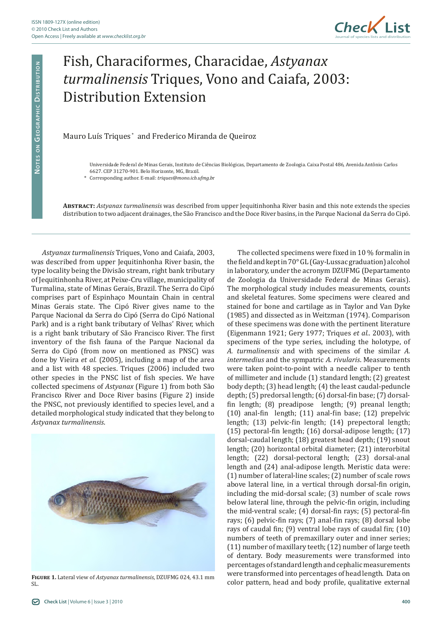

## Fish, Characiformes, Characidae, *Astyanax turmalinensis* Triques, Vono and Caiafa, 2003: Distribution Extension

## Mauro Luís Triques<sup>\*</sup> and Frederico Miranda de Queiroz

\* Corresponding author. E-mail: *triques@mono.icb.ufmg.b*r

**Abstract:** *Astyanax turmalinensis* was described from upper Jequitinhonha River basin and this note extends the species distribution to two adjacent drainages, the São Francisco and the Doce River basins, in the Parque Nacional da Serra do Cipó.

*Astyanax turmalinensis* Triques, Vono and Caiafa, 2003, was described from upper Jequitinhonha River basin, the type locality being the Divisão stream, right bank tributary of Jequitinhonha River, at Peixe-Cru village, municipality of Turmalina, state of Minas Gerais, Brazil. The Serra do Cipó comprises part of Espinhaço Mountain Chain in central Minas Gerais state. The Cipó River gives name to the Parque Nacional da Serra do Cipó (Serra do Cipó National Park) and is a right bank tributary of Velhas' River, which is a right bank tributary of São Francisco River. The first inventory of the fish fauna of the Parque Nacional da Serra do Cipó (from now on mentioned as PNSC) was done by Vieira *et al.* (2005), including a map of the area and a list with 48 species. Triques (2006) included two other species in the PNSC list of fish species. We have collected specimens of *Astyanax* (Figure 1) from both São Francisco River and Doce River basins (Figure 2) inside the PNSC, not previously identified to species level, and a detailed morphological study indicated that they belong to *Astyanax turmalinensis*.



**Figure 1.** Lateral view of *Astyanax turmalinensis*, DZUFMG 024, 43.1 mm SL.

The collected specimens were fixed in 10 % formalin in the field and kept in 70° GL (Gay-Lussac graduation) alcohol in laboratory, under the acronym DZUFMG (Departamento de Zoologia da Universidade Federal de Minas Gerais). The morphological study includes measurements, counts and skeletal features. Some specimens were cleared and stained for bone and cartilage as in Taylor and Van Dyke (1985) and dissected as in Weitzman (1974). Comparison of these specimens was done with the pertinent literature (Eigenmann 1921; Gery 1977; Triques *et al.*. 2003), with specimens of the type series, including the holotype, of *A. turmalinensis* and with specimens of the similar *A. intermedius* and the sympatric *A. rivularis*. Measurements were taken point-to-point with a needle caliper to tenth of millimeter and include (1) standard length; (2) greatest body depth; (3) head length; (4) the least caudal-peduncle depth; (5) predorsal length; (6) dorsal-fin base; (7) dorsalfin length; (8) preadipose length; (9) preanal length; (10) anal-fin length; (11) anal-fin base; (12) prepelvic length; (13) pelvic-fin length; (14) prepectoral length; (15) pectoral-fin length; (16) dorsal-adipose length; (17) dorsal-caudal length; (18) greatest head depth; (19) snout length; (20) horizontal orbital diameter; (21) interorbital length; (22) dorsal-pectoral length; (23) dorsal-anal length and (24) anal-adipose length. Meristic data were: (1) number of lateral-line scales; (2) number of scale rows above lateral line, in a vertical through dorsal-fin origin, including the mid-dorsal scale; (3) number of scale rows below lateral line, through the pelvic-fin origin, including the mid-ventral scale; (4) dorsal-fin rays; (5) pectoral-fin rays; (6) pelvic-fin rays; (7) anal-fin rays; (8) dorsal lobe rays of caudal fin; (9) ventral lobe rays of caudal fin; (10) numbers of teeth of premaxillary outer and inner series; (11) number of maxillary teeth; (12) number of large teeth of dentary. Body measurements were transformed into percentages of standard length and cephalic measurements were transformed into percentages of head length. Data on color pattern, head and body profile, qualitative external

Universidade Federal de Minas Gerais, Instituto de Ciências Biológicas, Departamento de Zoologia. Caixa Postal 486, Avenida Antônio Carlos 6627. CEP 31270-901. Belo Horizonte, MG, Brazil.